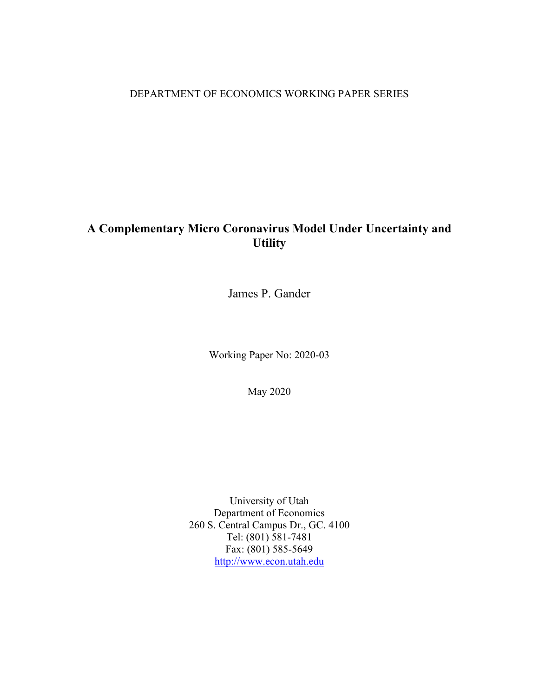## DEPARTMENT OF ECONOMICS WORKING PAPER SERIES

# **A Complementary Micro Coronavirus Model Under Uncertainty and Utility**

James P. Gander

Working Paper No: 2020-03

May 2020

University of Utah Department of Economics 260 S. Central Campus Dr., GC. 4100 Tel: (801) 581-7481 Fax: (801) 585-5649 http://www.econ.utah.edu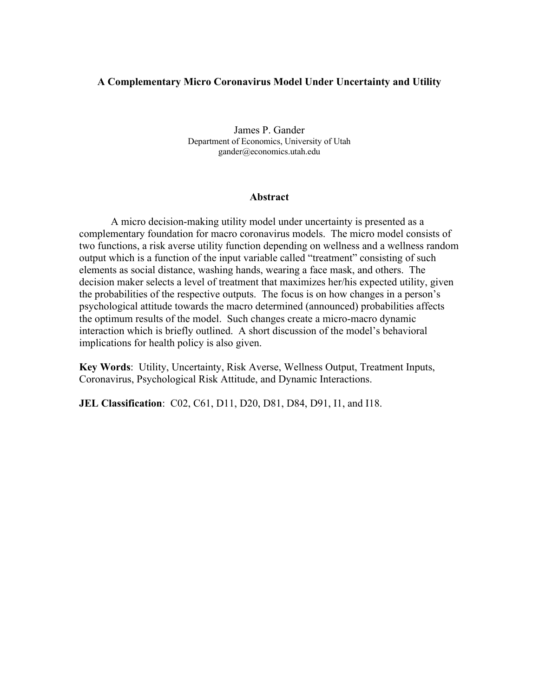### **A Complementary Micro Coronavirus Model Under Uncertainty and Utility**

James P. Gander Department of Economics, University of Utah gander@economics.utah.edu

#### **Abstract**

A micro decision-making utility model under uncertainty is presented as a complementary foundation for macro coronavirus models. The micro model consists of two functions, a risk averse utility function depending on wellness and a wellness random output which is a function of the input variable called "treatment" consisting of such elements as social distance, washing hands, wearing a face mask, and others. The decision maker selects a level of treatment that maximizes her/his expected utility, given the probabilities of the respective outputs. The focus is on how changes in a person's psychological attitude towards the macro determined (announced) probabilities affects the optimum results of the model. Such changes create a micro-macro dynamic interaction which is briefly outlined. A short discussion of the model's behavioral implications for health policy is also given.

**Key Words**: Utility, Uncertainty, Risk Averse, Wellness Output, Treatment Inputs, Coronavirus, Psychological Risk Attitude, and Dynamic Interactions.

**JEL Classification**: C02, C61, D11, D20, D81, D84, D91, I1, and I18.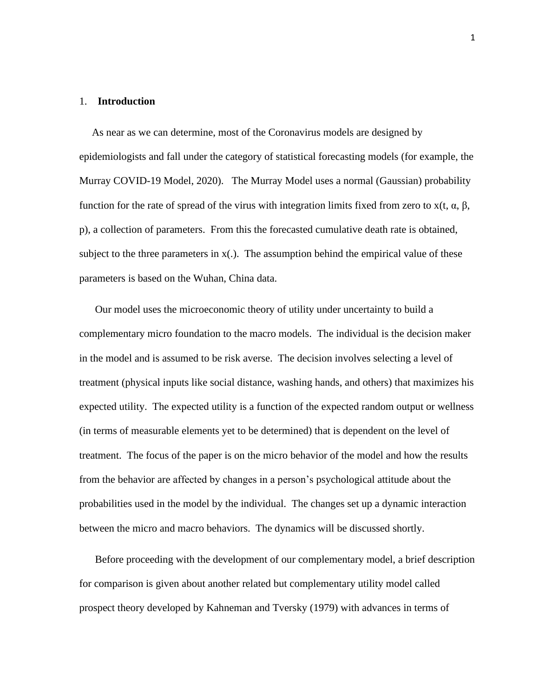#### 1. **Introduction**

As near as we can determine, most of the Coronavirus models are designed by epidemiologists and fall under the category of statistical forecasting models (for example, the Murray COVID-19 Model, 2020). The Murray Model uses a normal (Gaussian) probability function for the rate of spread of the virus with integration limits fixed from zero to x(t, α, β, p), a collection of parameters. From this the forecasted cumulative death rate is obtained, subject to the three parameters in  $x(.)$ . The assumption behind the empirical value of these parameters is based on the Wuhan, China data.

Our model uses the microeconomic theory of utility under uncertainty to build a complementary micro foundation to the macro models. The individual is the decision maker in the model and is assumed to be risk averse. The decision involves selecting a level of treatment (physical inputs like social distance, washing hands, and others) that maximizes his expected utility. The expected utility is a function of the expected random output or wellness (in terms of measurable elements yet to be determined) that is dependent on the level of treatment. The focus of the paper is on the micro behavior of the model and how the results from the behavior are affected by changes in a person's psychological attitude about the probabilities used in the model by the individual. The changes set up a dynamic interaction between the micro and macro behaviors. The dynamics will be discussed shortly.

Before proceeding with the development of our complementary model, a brief description for comparison is given about another related but complementary utility model called prospect theory developed by Kahneman and Tversky (1979) with advances in terms of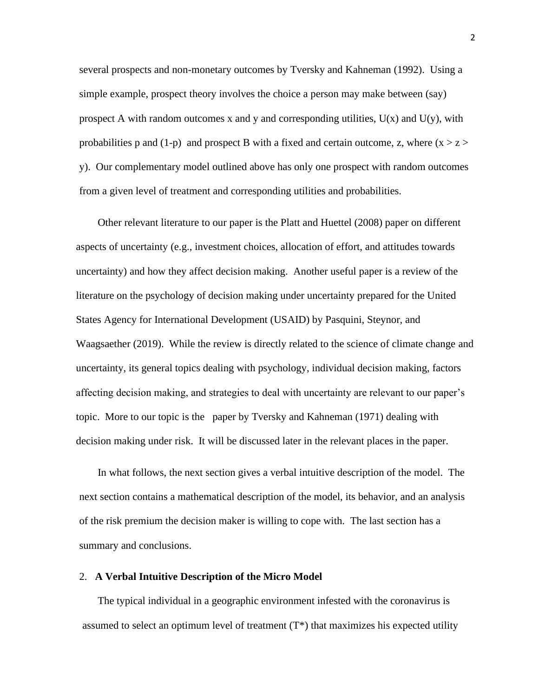several prospects and non-monetary outcomes by Tversky and Kahneman (1992). Using a simple example, prospect theory involves the choice a person may make between (say) prospect A with random outcomes x and y and corresponding utilities,  $U(x)$  and  $U(y)$ , with probabilities p and (1-p) and prospect B with a fixed and certain outcome, z, where  $(x > z >$ y). Our complementary model outlined above has only one prospect with random outcomes from a given level of treatment and corresponding utilities and probabilities.

Other relevant literature to our paper is the Platt and Huettel (2008) paper on different aspects of uncertainty (e.g., investment choices, allocation of effort, and attitudes towards uncertainty) and how they affect decision making. Another useful paper is a review of the literature on the psychology of decision making under uncertainty prepared for the United States Agency for International Development (USAID) by Pasquini, Steynor, and Waagsaether (2019). While the review is directly related to the science of climate change and uncertainty, its general topics dealing with psychology, individual decision making, factors affecting decision making, and strategies to deal with uncertainty are relevant to our paper's topic. More to our topic is the paper by Tversky and Kahneman (1971) dealing with decision making under risk. It will be discussed later in the relevant places in the paper.

In what follows, the next section gives a verbal intuitive description of the model. The next section contains a mathematical description of the model, its behavior, and an analysis of the risk premium the decision maker is willing to cope with. The last section has a summary and conclusions.

#### 2. **A Verbal Intuitive Description of the Micro Model**

The typical individual in a geographic environment infested with the coronavirus is assumed to select an optimum level of treatment  $(T^*)$  that maximizes his expected utility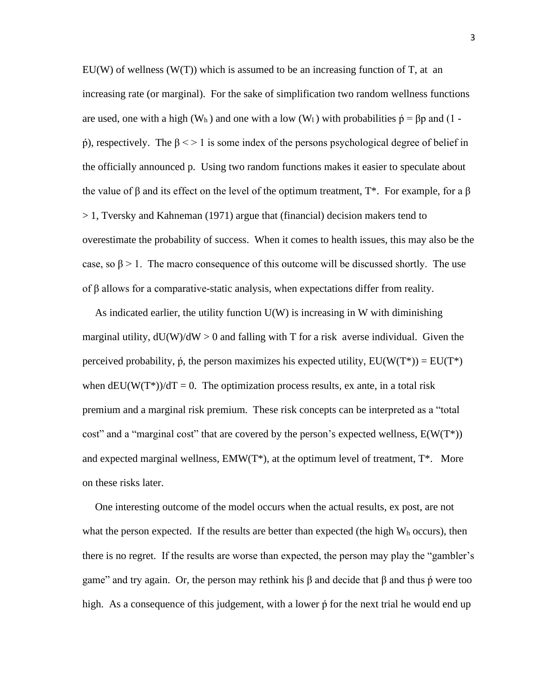EU(W) of wellness (W(T)) which is assumed to be an increasing function of T, at an increasing rate (or marginal). For the sake of simplification two random wellness functions are used, one with a high (W<sub>h</sub>) and one with a low (W<sub>1</sub>) with probabilities  $\acute{p} = \beta p$  and (1 - $\phi$ ), respectively. The β < > 1 is some index of the persons psychological degree of belief in the officially announced p. Using two random functions makes it easier to speculate about the value of  $\beta$  and its effect on the level of the optimum treatment, T<sup>\*</sup>. For example, for a  $\beta$ > 1, Tversky and Kahneman (1971) argue that (financial) decision makers tend to overestimate the probability of success. When it comes to health issues, this may also be the case, so  $\beta > 1$ . The macro consequence of this outcome will be discussed shortly. The use of β allows for a comparative-static analysis, when expectations differ from reality.

As indicated earlier, the utility function  $U(W)$  is increasing in W with diminishing marginal utility,  $dU(W)/dW > 0$  and falling with T for a risk averse individual. Given the perceived probability,  $\dot{p}$ , the person maximizes his expected utility,  $EU(W(T^*)) = EU(T^*)$ when  $dEU(W(T^*))/dT = 0$ . The optimization process results, ex ante, in a total risk premium and a marginal risk premium. These risk concepts can be interpreted as a "total cost" and a "marginal cost" that are covered by the person's expected wellness,  $E(W(T^*))$ and expected marginal wellness,  $EMW(T^*)$ , at the optimum level of treatment,  $T^*$ . More on these risks later.

One interesting outcome of the model occurs when the actual results, ex post, are not what the person expected. If the results are better than expected (the high  $W_h$  occurs), then there is no regret. If the results are worse than expected, the person may play the "gambler's game" and try again. Or, the person may rethink his  $\beta$  and decide that  $\beta$  and thus  $\dot{\beta}$  were too high. As a consequence of this judgement, with a lower  $\phi$  for the next trial he would end up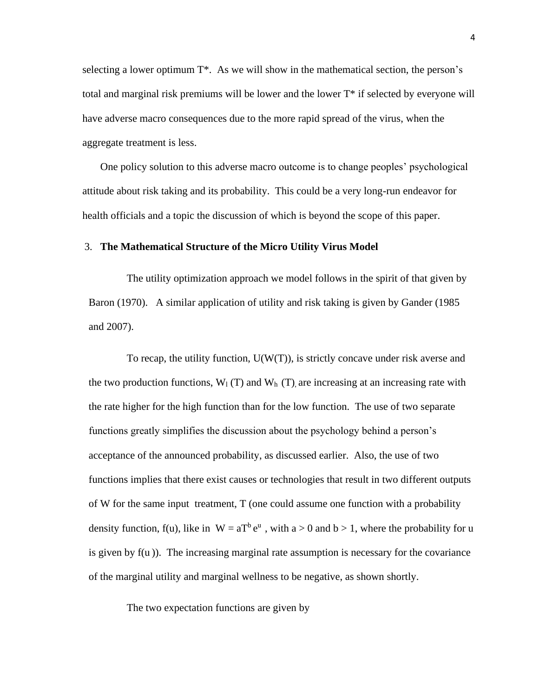selecting a lower optimum T\*. As we will show in the mathematical section, the person's total and marginal risk premiums will be lower and the lower T\* if selected by everyone will have adverse macro consequences due to the more rapid spread of the virus, when the aggregate treatment is less.

 One policy solution to this adverse macro outcome is to change peoples' psychological attitude about risk taking and its probability. This could be a very long-run endeavor for health officials and a topic the discussion of which is beyond the scope of this paper.

#### 3. **The Mathematical Structure of the Micro Utility Virus Model**

The utility optimization approach we model follows in the spirit of that given by Baron (1970). A similar application of utility and risk taking is given by Gander (1985 and 2007).

To recap, the utility function,  $U(W(T))$ , is strictly concave under risk averse and the two production functions,  $W_1(T)$  and  $W_h(T)$ , are increasing at an increasing rate with the rate higher for the high function than for the low function. The use of two separate functions greatly simplifies the discussion about the psychology behind a person's acceptance of the announced probability, as discussed earlier. Also, the use of two functions implies that there exist causes or technologies that result in two different outputs of W for the same input treatment, T (one could assume one function with a probability density function, f(u), like in  $W = aT^b e^u$ , with  $a > 0$  and  $b > 1$ , where the probability for u is given by  $f(u)$ ). The increasing marginal rate assumption is necessary for the covariance of the marginal utility and marginal wellness to be negative, as shown shortly.

The two expectation functions are given by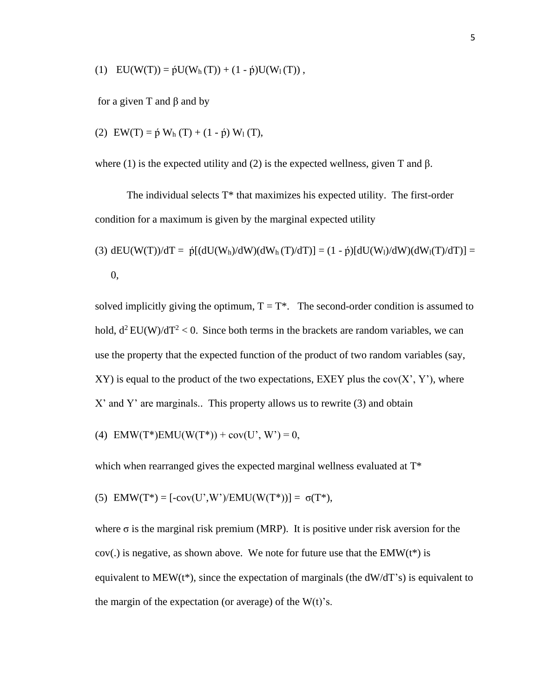(1)  $EU(W(T)) = \dot{p}U(W_h(T)) + (1 - \dot{p})U(W_l(T)),$ 

for a given T and β and by

(2) 
$$
EW(T) = \phi W_h(T) + (1 - \phi) W_1(T)
$$
,

where (1) is the expected utility and (2) is the expected wellness, given T and  $\beta$ .

The individual selects  $T^*$  that maximizes his expected utility. The first-order condition for a maximum is given by the marginal expected utility

(3) 
$$
dEU(W(T))/dT = \acute{p}[(dU(W_h)/dW)(dW_h(T)/dT)] = (1 - \acute{p})[dU(W_l)/dW)(dW_l(T)/dT)] = 0,
$$

solved implicitly giving the optimum,  $T = T^*$ . The second-order condition is assumed to hold,  $d^2 EU(W)/dT^2 < 0$ . Since both terms in the brackets are random variables, we can use the property that the expected function of the product of two random variables (say,  $XY$ ) is equal to the product of the two expectations, EXEY plus the cov $(X', Y')$ , where X' and Y' are marginals.. This property allows us to rewrite (3) and obtain

(4) 
$$
EMW(T^*)EMU(W(T^*)) + cov(U', W') = 0
$$
,

which when rearranged gives the expected marginal wellness evaluated at  $T^*$ 

(5) 
$$
EMW(T^*) = [-cov(U', W')/EMU(W(T^*))] = \sigma(T^*),
$$

where  $\sigma$  is the marginal risk premium (MRP). It is positive under risk aversion for the  $cov(.)$  is negative, as shown above. We note for future use that the EMW( $t^*$ ) is equivalent to MEW( $t^*$ ), since the expectation of marginals (the  $dW/dT$ 's) is equivalent to the margin of the expectation (or average) of the  $W(t)$ 's.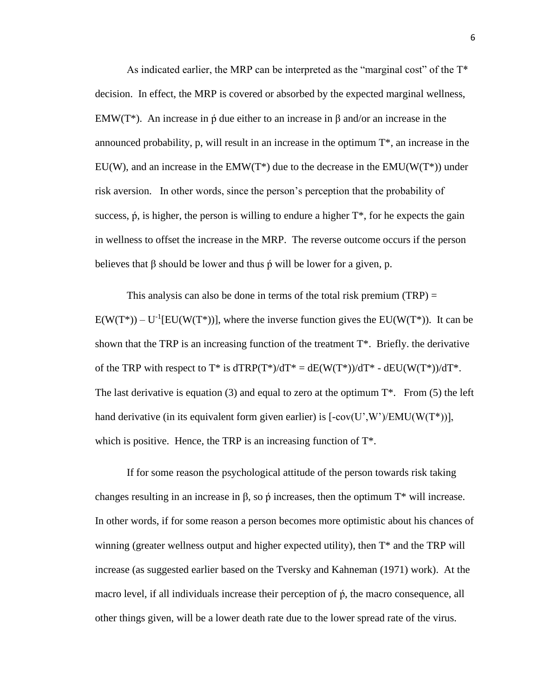As indicated earlier, the MRP can be interpreted as the "marginal cost" of the T\* decision. In effect, the MRP is covered or absorbed by the expected marginal wellness, EMW(T<sup>\*</sup>). An increase in  $\beta$  due either to an increase in  $\beta$  and/or an increase in the announced probability, p, will result in an increase in the optimum T\*, an increase in the EU(W), and an increase in the EMW(T<sup>\*</sup>) due to the decrease in the EMU( $W(T<sup>*</sup>)$ ) under risk aversion. In other words, since the person's perception that the probability of success,  $\dot{\rho}$ , is higher, the person is willing to endure a higher  $T^*$ , for he expects the gain in wellness to offset the increase in the MRP. The reverse outcome occurs if the person believes that  $\beta$  should be lower and thus  $\dot{\rho}$  will be lower for a given, p.

This analysis can also be done in terms of the total risk premium  $(TRP) =$  $E(W(T^*)) - U^{-1}[EU(W(T^*))]$ , where the inverse function gives the  $EU(W(T^*))$ . It can be shown that the TRP is an increasing function of the treatment T\*. Briefly. the derivative of the TRP with respect to  $T^*$  is  $dTRP(T^*)/dT^* = dE(W(T^*))/dT^* - dEU(W(T^*))/dT^*$ . The last derivative is equation (3) and equal to zero at the optimum  $T^*$ . From (5) the left hand derivative (in its equivalent form given earlier) is  $[-cov(U',W')/EMU(W(T^*))]$ , which is positive. Hence, the TRP is an increasing function of  $T^*$ .

If for some reason the psychological attitude of the person towards risk taking changes resulting in an increase in  $\beta$ , so  $\dot{\rho}$  increases, then the optimum T\* will increase. In other words, if for some reason a person becomes more optimistic about his chances of winning (greater wellness output and higher expected utility), then T\* and the TRP will increase (as suggested earlier based on the Tversky and Kahneman (1971) work). At the macro level, if all individuals increase their perception of  $\phi$ , the macro consequence, all other things given, will be a lower death rate due to the lower spread rate of the virus.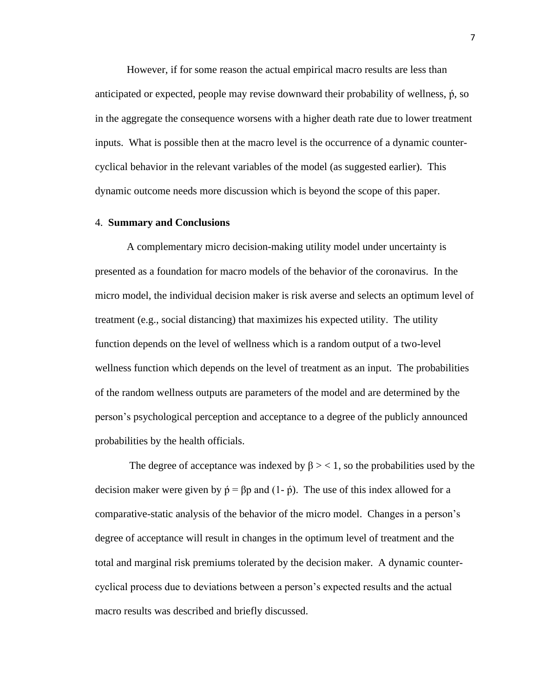However, if for some reason the actual empirical macro results are less than anticipated or expected, people may revise downward their probability of wellness,  $\dot{p}$ , so in the aggregate the consequence worsens with a higher death rate due to lower treatment inputs. What is possible then at the macro level is the occurrence of a dynamic countercyclical behavior in the relevant variables of the model (as suggested earlier). This dynamic outcome needs more discussion which is beyond the scope of this paper.

#### 4. **Summary and Conclusions**

A complementary micro decision-making utility model under uncertainty is presented as a foundation for macro models of the behavior of the coronavirus. In the micro model, the individual decision maker is risk averse and selects an optimum level of treatment (e.g., social distancing) that maximizes his expected utility. The utility function depends on the level of wellness which is a random output of a two-level wellness function which depends on the level of treatment as an input. The probabilities of the random wellness outputs are parameters of the model and are determined by the person's psychological perception and acceptance to a degree of the publicly announced probabilities by the health officials.

The degree of acceptance was indexed by  $\beta$  > < 1, so the probabilities used by the decision maker were given by  $\acute{\text{p}} = \beta \text{p}$  and  $(1-\acute{\text{p}})$ . The use of this index allowed for a comparative-static analysis of the behavior of the micro model. Changes in a person's degree of acceptance will result in changes in the optimum level of treatment and the total and marginal risk premiums tolerated by the decision maker. A dynamic countercyclical process due to deviations between a person's expected results and the actual macro results was described and briefly discussed.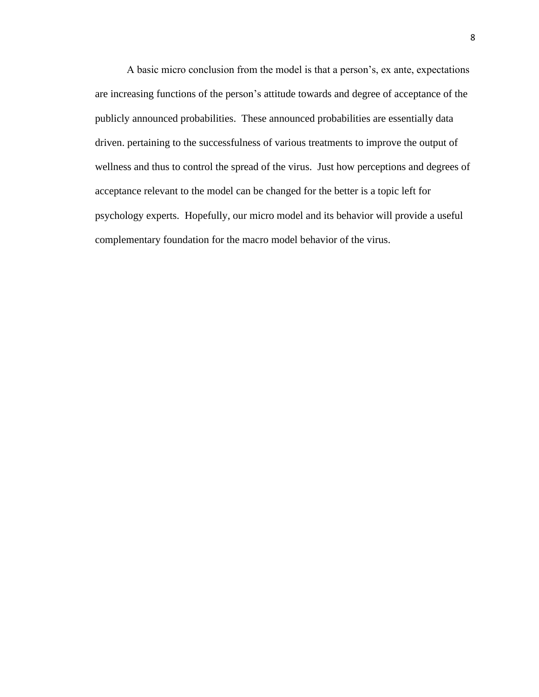A basic micro conclusion from the model is that a person's, ex ante, expectations are increasing functions of the person's attitude towards and degree of acceptance of the publicly announced probabilities. These announced probabilities are essentially data driven. pertaining to the successfulness of various treatments to improve the output of wellness and thus to control the spread of the virus. Just how perceptions and degrees of acceptance relevant to the model can be changed for the better is a topic left for psychology experts. Hopefully, our micro model and its behavior will provide a useful complementary foundation for the macro model behavior of the virus.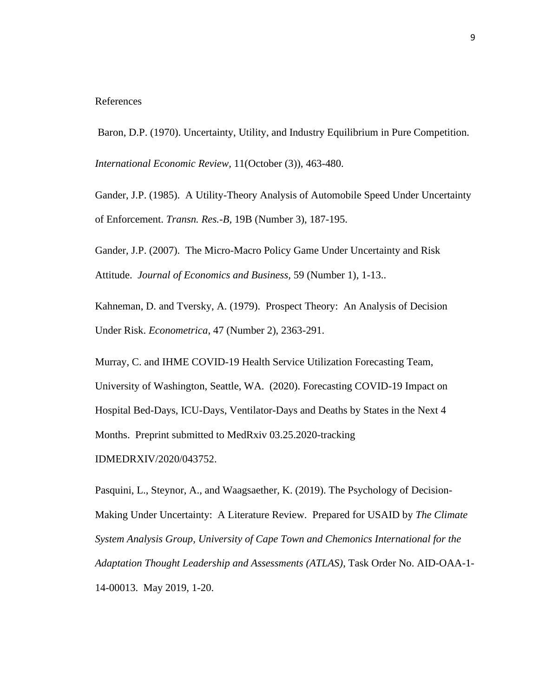#### References

Baron, D.P. (1970). Uncertainty, Utility, and Industry Equilibrium in Pure Competition.

*International Economic Review,* 11(October (3)), 463-480.

Gander, J.P. (1985). A Utility-Theory Analysis of Automobile Speed Under Uncertainty of Enforcement. *Transn. Res.-B,* 19B (Number 3), 187-195.

Gander, J.P. (2007). The Micro-Macro Policy Game Under Uncertainty and Risk Attitude. *Journal of Economics and Business,* 59 (Number 1), 1-13..

Kahneman, D. and Tversky, A. (1979). Prospect Theory: An Analysis of Decision Under Risk. *Econometrica*, 47 (Number 2), 2363-291.

Murray, C. and IHME COVID-19 Health Service Utilization Forecasting Team, University of Washington, Seattle, WA. (2020). Forecasting COVID-19 Impact on Hospital Bed-Days, ICU-Days, Ventilator-Days and Deaths by States in the Next 4 Months. Preprint submitted to MedRxiv 03.25.2020-tracking IDMEDRXIV/2020/043752.

Pasquini, L., Steynor, A., and Waagsaether, K. (2019). The Psychology of Decision-Making Under Uncertainty: A Literature Review. Prepared for USAID by *The Climate System Analysis Group, University of Cape Town and Chemonics International for the Adaptation Thought Leadership and Assessments (ATLAS)*, Task Order No. AID-OAA-1- 14-00013. May 2019, 1-20.